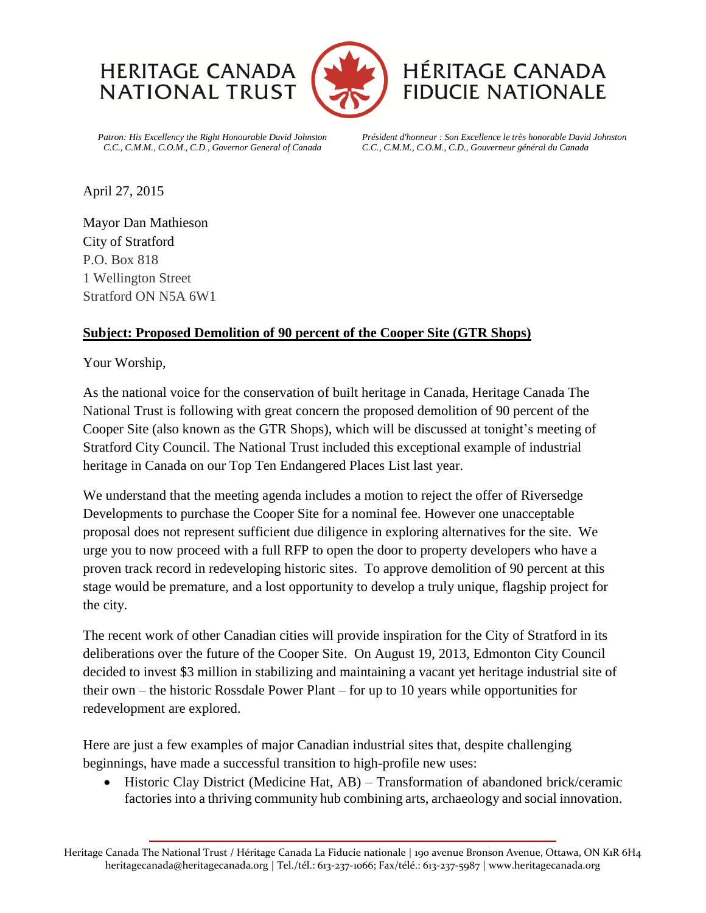



## **HÉRITAGE CANADA FIDUCIE NATIONALE**

*Patron: His Excellency the Right Honourable David Johnston C.C., C.M.M., C.O.M., C.D., Governor General of Canada* 

*Président d'honneur : Son Excellence le très honorable David Johnston C.C., C.M.M., C.O.M., C.D., Gouverneur général du Canada*

April 27, 2015

Mayor Dan Mathieson City of Stratford P.O. Box 818 1 Wellington Street Stratford ON N5A 6W1

## **Subject: Proposed Demolition of 90 percent of the Cooper Site (GTR Shops)**

Your Worship,

As the national voice for the conservation of built heritage in Canada, Heritage Canada The National Trust is following with great concern the proposed demolition of 90 percent of the Cooper Site (also known as the GTR Shops), which will be discussed at tonight's meeting of Stratford City Council. The National Trust included this exceptional example of industrial heritage in Canada on our Top Ten Endangered Places List last year.

We understand that the meeting agenda includes a motion to reject the offer of Riversedge Developments to purchase the Cooper Site for a nominal fee. However one unacceptable proposal does not represent sufficient due diligence in exploring alternatives for the site. We urge you to now proceed with a full RFP to open the door to property developers who have a proven track record in redeveloping historic sites. To approve demolition of 90 percent at this stage would be premature, and a lost opportunity to develop a truly unique, flagship project for the city.

The recent work of other Canadian cities will provide inspiration for the City of Stratford in its deliberations over the future of the Cooper Site. On August 19, 2013, Edmonton City Council decided to invest \$3 million in stabilizing and maintaining a vacant yet heritage industrial site of their own – the historic Rossdale Power Plant – for up to 10 years while opportunities for redevelopment are explored.

Here are just a few examples of major Canadian industrial sites that, despite challenging beginnings, have made a successful transition to high-profile new uses:

• Historic Clay District (Medicine Hat, AB) – Transformation of abandoned brick/ceramic factories into a thriving community hub combining arts, archaeology and social innovation.

Heritage Canada The National Trust / Héritage Canada La Fiducie nationale | 190 avenue Bronson Avenue, Ottawa, ON K1R 6H4 heritagecanada@heritagecanada.org | Tel./tél.: 613-237-1066; Fax/télé.: 613-237-5987 | www.heritagecanada.org